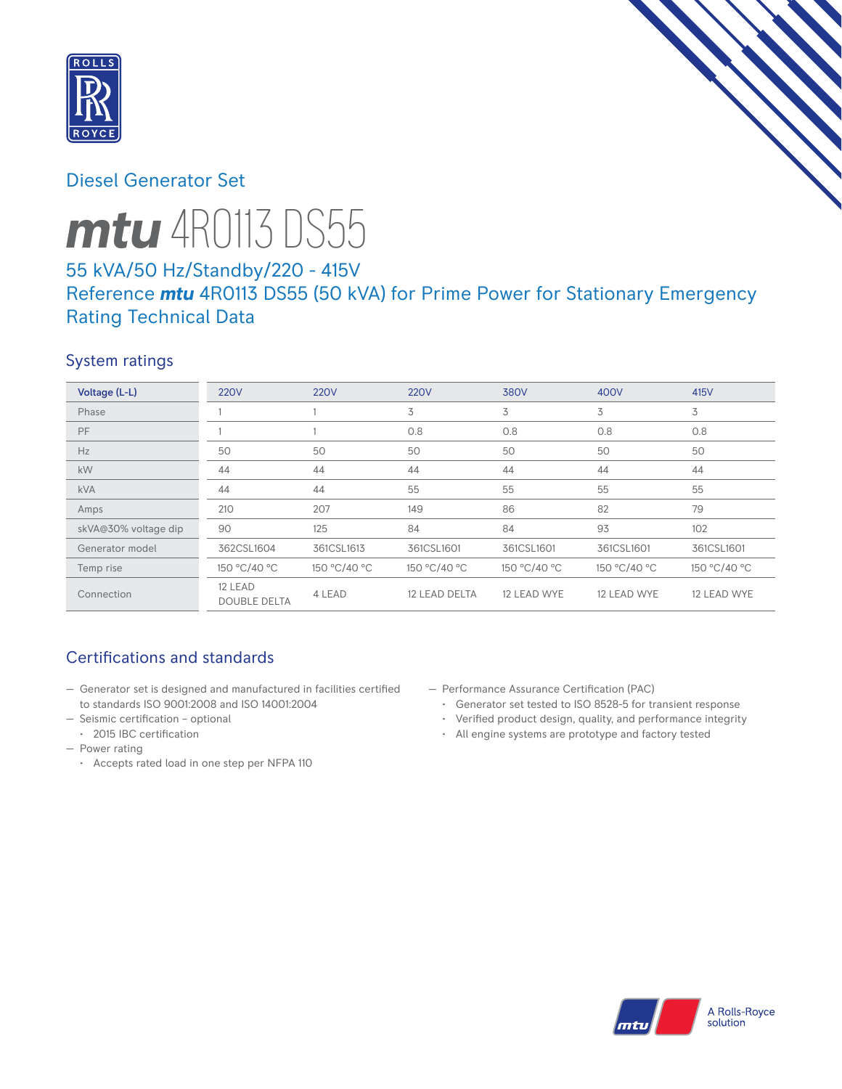

# Diesel Generator Set

# *mtu* 4R0113 DS55

# 55 kVA/50 Hz/Standby/220 - 415V Reference *mtu* 4R0113 DS55 (50 kVA) for Prime Power for Stationary Emergency Rating Technical Data

## System ratings

| Voltage (L-L)        | <b>220V</b>                    | <b>220V</b>  | <b>220V</b>   | 380V         | 400V         | 415V         |
|----------------------|--------------------------------|--------------|---------------|--------------|--------------|--------------|
| Phase                |                                |              | 3             | 3            | 3            | 3            |
| PF                   |                                |              | 0.8           | 0.8          | 0.8          | 0.8          |
| Hz                   | 50                             | 50           | 50            | 50           | 50           | 50           |
| kW                   | 44                             | 44           | 44            | 44           | 44           | 44           |
| <b>kVA</b>           | 44                             | 44           | 55            | 55           | 55           | 55           |
| Amps                 | 210                            | 207          | 149           | 86           | 82           | 79           |
| skVA@30% voltage dip | 90                             | 125          | 84            | 84           | 93           | 102          |
| Generator model      | 362CSL1604                     | 361CSL1613   | 361CSL1601    | 361CSL1601   | 361CSL1601   | 361CSL1601   |
| Temp rise            | 150 °C/40 °C                   | 150 °C/40 °C | 150 °C/40 °C  | 150 °C/40 °C | 150 °C/40 °C | 150 °C/40 °C |
| Connection           | 12 LEAD<br><b>DOUBLE DELTA</b> | 4 LEAD       | 12 LEAD DELTA | 12 LEAD WYE  | 12 LEAD WYE  | 12 LEAD WYE  |

# Certifications and standards

- Generator set is designed and manufactured in facilities certified to standards ISO 9001:2008 and ISO 14001:2004
- Seismic certification optional
	- 2015 IBC certification
- Power rating
	- Accepts rated load in one step per NFPA 110
- Performance Assurance Certification (PAC)
	- Generator set tested to ISO 8528-5 for transient response
	- Verified product design, quality, and performance integrity
	- All engine systems are prototype and factory tested

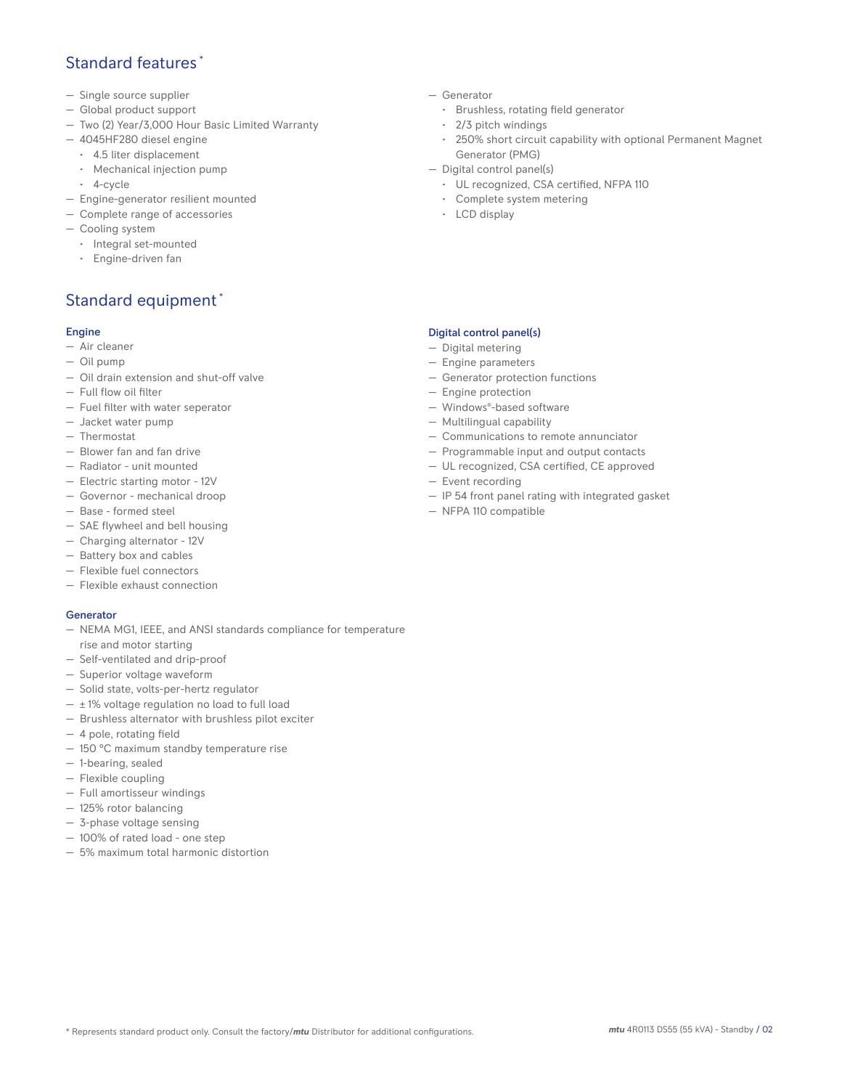## Standard features \*

- Single source supplier
- Global product support
- Two (2) Year/3,000 Hour Basic Limited Warranty
- 4045HF280 diesel engine
	- 4.5 liter displacement
	- Mechanical injection pump
	- 4-cycle
- Engine-generator resilient mounted
- Complete range of accessories
- Cooling system
- Integral set-mounted
	- Engine-driven fan

# Standard equipment \*

#### Engine

- Air cleaner
- Oil pump
- Oil drain extension and shut-off valve
- Full flow oil filter
- Fuel filter with water seperator
- Jacket water pump
- Thermostat
- Blower fan and fan drive
- Radiator unit mounted
- Electric starting motor 12V
- Governor mechanical droop
- Base formed steel
- SAE flywheel and bell housing
- Charging alternator 12V
- Battery box and cables
- Flexible fuel connectors
- Flexible exhaust connection

#### Generator

- NEMA MG1, IEEE, and ANSI standards compliance for temperature rise and motor starting
- Self-ventilated and drip-proof
- Superior voltage waveform
- Solid state, volts-per-hertz regulator
- $\pm$  1% voltage regulation no load to full load
- Brushless alternator with brushless pilot exciter
- 4 pole, rotating field
- 150 °C maximum standby temperature rise
- 1-bearing, sealed
- Flexible coupling
- Full amortisseur windings
- 125% rotor balancing
- 3-phase voltage sensing
- 100% of rated load one step
- 5% maximum total harmonic distortion
- Generator
	- Brushless, rotating field generator
	- 2/3 pitch windings
	- 250% short circuit capability with optional Permanent Magnet Generator (PMG)
- Digital control panel(s)
	- UL recognized, CSA certified, NFPA 110
	- Complete system metering
	- LCD display

#### Digital control panel(s)

- Digital metering
- Engine parameters
- Generator protection functions
- Engine protection
- Windows®-based software
- Multilingual capability
- Communications to remote annunciator
- Programmable input and output contacts
- UL recognized, CSA certified, CE approved
- Event recording
- IP 54 front panel rating with integrated gasket
- NFPA 110 compatible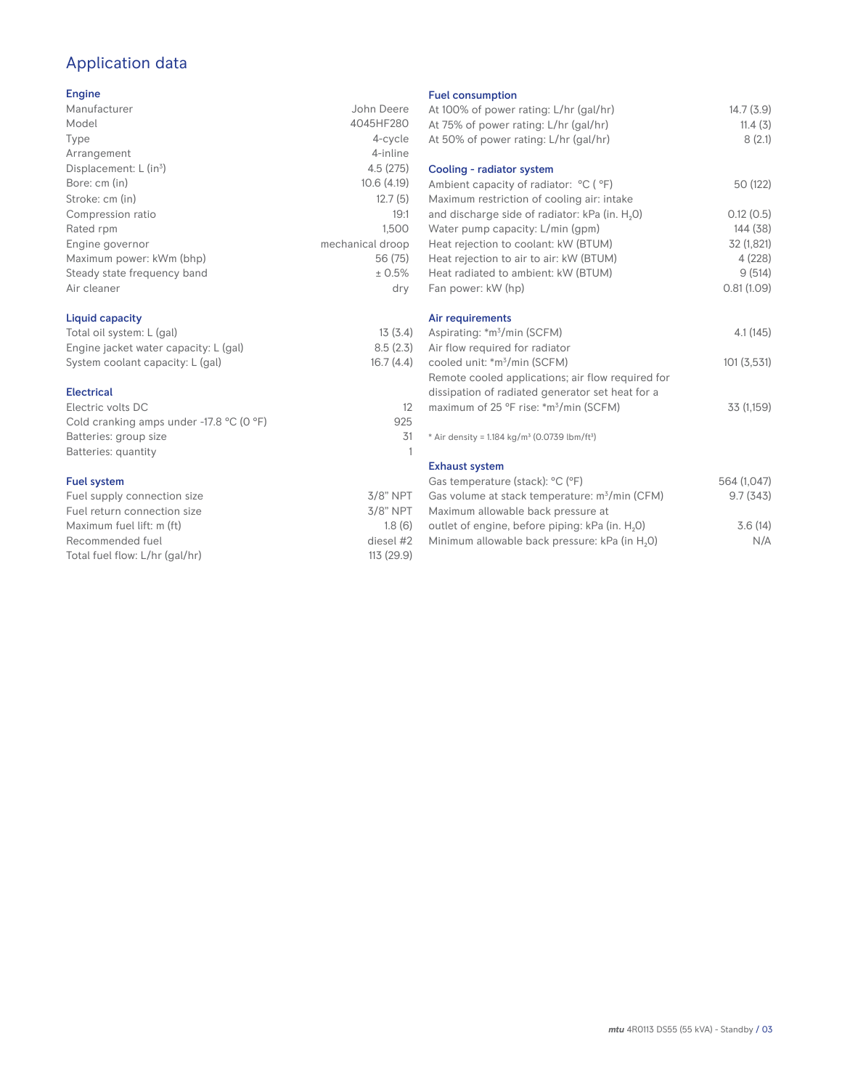# Application data

## Engine

| Manufacturer                         | John Deere       |
|--------------------------------------|------------------|
| Model                                | 4045HF280        |
| Type                                 | 4-cycle          |
| Arrangement                          | 4-inline         |
| Displacement: $L$ (in <sup>3</sup> ) | 4.5(275)         |
| Bore: cm (in)                        | 10.6(4.19)       |
| Stroke: cm (in)                      | 12.7(5)          |
| Compression ratio                    | 19:1             |
| Rated rpm                            | 1,500            |
| Engine governor                      | mechanical droop |
| Maximum power: kWm (bhp)             | 56 (75)          |
| Steady state frequency band          | ± 0.5%           |
| Air cleaner                          | dry              |
|                                      |                  |

## Liquid capacity

| Total oil system: L (gal)             | 13(3.4)   |
|---------------------------------------|-----------|
| Engine jacket water capacity: L (gal) | 8.5(2.3)  |
| System coolant capacity: L (gal)      | 16.7(4.4) |

#### Electrical

| Electric volts DC                                            |     |
|--------------------------------------------------------------|-----|
| Cold cranking amps under -17.8 $^{\circ}$ C (O $^{\circ}$ F) | 925 |
| Batteries: group size                                        | 31  |
| Batteries: quantity                                          |     |
|                                                              |     |

### Fuel system

| $3/8$ " NPT |
|-------------|
| $3/8$ " NPT |
| 1.8(6)      |
| diesel #2   |
| 113 (29.9)  |
|             |

#### Fuel consumption

| At 100% of power rating: L/hr (gal/hr)<br>At 75% of power rating: L/hr (gal/hr)<br>At 50% of power rating: L/hr (gal/hr) | 14.7(3.9)<br>11.4(3)<br>8(2.1) |
|--------------------------------------------------------------------------------------------------------------------------|--------------------------------|
| Cooling - radiator system                                                                                                |                                |
| Ambient capacity of radiator: °C (°F)                                                                                    | 50 (122)                       |
| Maximum restriction of cooling air: intake                                                                               |                                |
| and discharge side of radiator: kPa (in. H <sub>2</sub> 0)                                                               | 0.12(0.5)                      |
| Water pump capacity: L/min (gpm)                                                                                         | 144 (38)                       |
| Heat rejection to coolant: kW (BTUM)                                                                                     | 32 (1,821)                     |
| Heat rejection to air to air: kW (BTUM)                                                                                  | 4 (228)                        |
| Heat radiated to ambient: kW (BTUM)                                                                                      | 9(514)                         |
| Fan power: kW (hp)                                                                                                       | 0.81(1.09)                     |
| Air requirements                                                                                                         |                                |
| Aspirating: *m <sup>3</sup> /min (SCFM)                                                                                  | 4.1 (145)                      |
| Air flow required for radiator                                                                                           |                                |
| cooled unit: *m <sup>3</sup> /min (SCFM)                                                                                 | 101(3,531)                     |
| Remote cooled applications; air flow required for                                                                        |                                |
| dissipation of radiated generator set heat for a                                                                         |                                |
| maximum of 25 °F rise: *m <sup>3</sup> /min (SCFM)                                                                       | 33 (1,159)                     |
|                                                                                                                          |                                |
| * Air density = 1.184 kg/m <sup>3</sup> (0.0739 lbm/ft <sup>3</sup> )                                                    |                                |
| <b>Exhaust system</b>                                                                                                    |                                |
| Gas temperature (stack): °C (°F)                                                                                         | 564 (1,047)                    |
| Gas volume at stack temperature: m <sup>3</sup> /min (CFM)                                                               | 9.7(343)                       |
| Maximum allowable back pressure at                                                                                       |                                |
| outlet of engine, before piping: kPa (in. H <sub>2</sub> 0)                                                              | 3.6(14)                        |
| Minimum allowable back pressure: kPa (in H <sub>2</sub> O)                                                               | N/A                            |
|                                                                                                                          |                                |